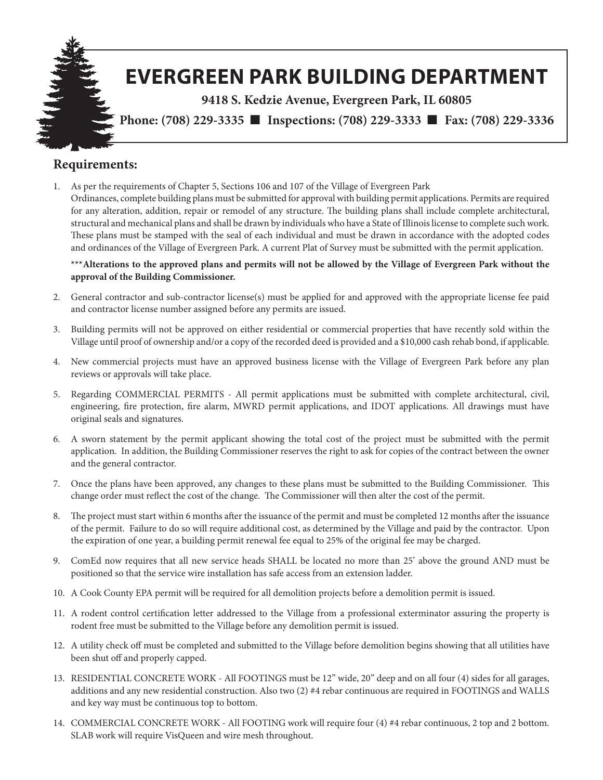

#### **Requirements:**

1. As per the requirements of Chapter 5, Sections 106 and 107 of the Village of Evergreen Park Ordinances, complete building plans must be submitted for approval with building permit applications. Permits are required for any alteration, addition, repair or remodel of any structure. The building plans shall include complete architectural, structural and mechanical plans and shall be drawn by individuals who have a State of Illinois license to complete such work. These plans must be stamped with the seal of each individual and must be drawn in accordance with the adopted codes and ordinances of the Village of Evergreen Park. A current Plat of Survey must be submitted with the permit application.

**\*\*\*Alterations to the approved plans and permits will not be allowed by the Village of Evergreen Park without the approval of the Building Commissioner.**

- 2. General contractor and sub-contractor license(s) must be applied for and approved with the appropriate license fee paid and contractor license number assigned before any permits are issued.
- 3. Building permits will not be approved on either residential or commercial properties that have recently sold within the Village until proof of ownership and/or a copy of the recorded deed is provided and a \$10,000 cash rehab bond, if applicable.
- 4. New commercial projects must have an approved business license with the Village of Evergreen Park before any plan reviews or approvals will take place.
- 5. Regarding COMMERCIAL PERMITS All permit applications must be submitted with complete architectural, civil, engineering, fire protection, fire alarm, MWRD permit applications, and IDOT applications. All drawings must have original seals and signatures.
- 6. A sworn statement by the permit applicant showing the total cost of the project must be submitted with the permit application. In addition, the Building Commissioner reserves the right to ask for copies of the contract between the owner and the general contractor.
- 7. Once the plans have been approved, any changes to these plans must be submitted to the Building Commissioner. This change order must reflect the cost of the change. The Commissioner will then alter the cost of the permit.
- 8. The project must start within 6 months after the issuance of the permit and must be completed 12 months after the issuance of the permit. Failure to do so will require additional cost, as determined by the Village and paid by the contractor. Upon the expiration of one year, a building permit renewal fee equal to 25% of the original fee may be charged.
- 9. ComEd now requires that all new service heads SHALL be located no more than 25' above the ground AND must be positioned so that the service wire installation has safe access from an extension ladder.
- 10. A Cook County EPA permit will be required for all demolition projects before a demolition permit is issued.
- 11. A rodent control certification letter addressed to the Village from a professional exterminator assuring the property is rodent free must be submitted to the Village before any demolition permit is issued.
- 12. A utility check off must be completed and submitted to the Village before demolition begins showing that all utilities have been shut off and properly capped.
- 13. RESIDENTIAL CONCRETE WORK All FOOTINGS must be 12" wide, 20" deep and on all four (4) sides for all garages, additions and any new residential construction. Also two (2) #4 rebar continuous are required in FOOTINGS and WALLS and key way must be continuous top to bottom.
- 14. COMMERCIAL CONCRETE WORK All FOOTING work will require four (4) #4 rebar continuous, 2 top and 2 bottom. SLAB work will require VisQueen and wire mesh throughout.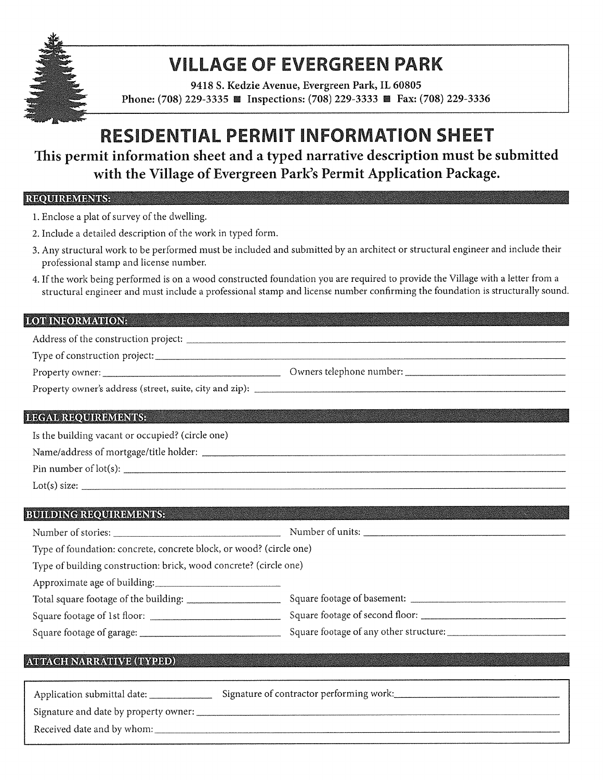

## **VILLAGE OF EVERGREEN PARK**

9418 S. Kedzie Avenue, Evergreen Park, IL 60805 Phone: (708) 229-3335 ■ Inspections: (708) 229-3333 ■ Fax: (708) 229-3336

## **RESIDENTIAL PERMIT INFORMATION SHEET**

This permit information sheet and a typed narrative description must be submitted with the Village of Evergreen Park's Permit Application Package.

#### REQUIREMENTS: Entertainment of the contract of the contract of the contract of the contract of the contract of

- 1. Enclose a plat of survey of the dwelling.
- 2. Include a detailed description of the work in typed form.
- 3. Any structural work to be performed must be included and submitted by an architect or structural engineer and include their professional stamp and license number.
- 4. If the work being performed is on a wood constructed foundation you are required to provide the Village with a letter from a structural engineer and must include a professional stamp and license number confirming the foundation is structurally sound.

#### **LOT INFORMATION:** The contract of the contract of the contract of the contract of the contract of the contract of the contract of the contract of the contract of the contract of the contract of the contract of the contrac

### **LEGAL REQUIREMENTS:** The contract of the contract of the contract of the contract of the contract of the contract of the contract of the contract of the contract of the contract of the contract of the contract of the cont

Is the building vacant or occupied? (circle one)

Pin number of lot(s):

 $Lot(s) size:$ 

#### **BUILDING REQUIREMENTS:** The contract of the contract of the contract of the contract of the contract of the contract of the contract of the contract of the contract of the contract of the contract of the contract of the c

Number of units: Number of stories: Type of foundation: concrete, concrete block, or wood? (circle one) Type of building construction: brick, wood concrete? (circle one) Approximate age of building:  $\sim$   $\sim$   $\sim$   $\sim$   $\sim$   $\sim$ 

| Total square footage of the building: | Square footage of basement:            |
|---------------------------------------|----------------------------------------|
| Square footage of 1st floor:          | Square footage of second floor:        |
| Square footage of garage:             | Square footage of any other structure: |

#### **ATTACH NARRATIVE (TYPED)**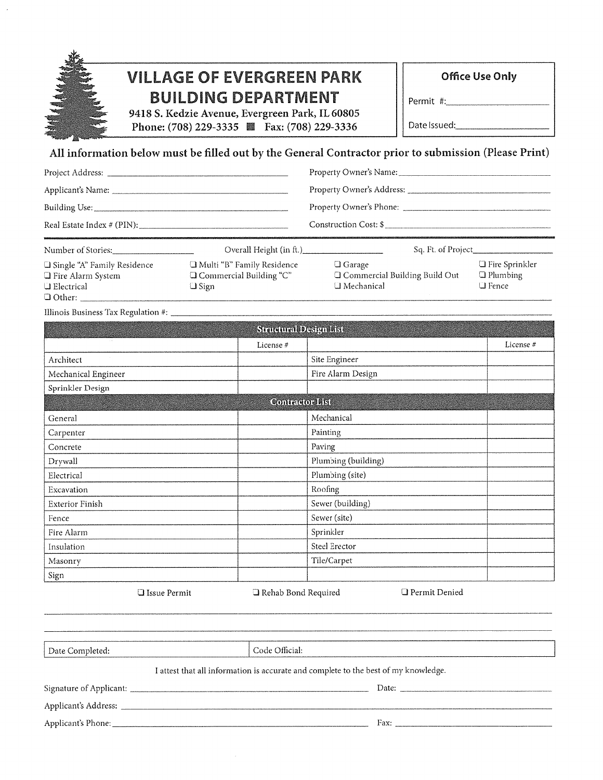| <b>VILLAGE OF EVERGREEN PARK</b>                                                                      | <b>Office Use Only</b> |
|-------------------------------------------------------------------------------------------------------|------------------------|
| <b>BUILDING DEPARTMENT</b>                                                                            | Permit #:              |
| 9418 S. Kedzie Avenue, Evergreen Park, IL 60805<br>Phone: (708) 229-3335 <b>a</b> Fax: (708) 229-3336 | Date Issued:           |
|                                                                                                       |                        |

#### All information below must be filled out by the General Contractor prior to submission (Please Print)

| Real Estate Index # (PIN):            |                                         | Construction Cost: \$ |                    |
|---------------------------------------|-----------------------------------------|-----------------------|--------------------|
| Number of Stories:                    | Overall Height (in ft.)                 |                       | Sq. Ft. of Project |
| <b>El Single "A" Family Residence</b> | <sup>1</sup> Multi "R" Family Residence | $\Box$ Garage         | □ Fire Sprinkler   |

| $\Box$ Single "A" Family Residence | $\Box$ Multi "B" Family Residence | $\bigcup$ Garage                     | $\Box$ Fire Sprinkler |
|------------------------------------|-----------------------------------|--------------------------------------|-----------------------|
| $\Box$ Fire Alarm System           | $\Box$ Commercial Building "C"    | $\Box$ Commercial Building Build Out | $\Box$ Plumbing       |
| <b>U</b> Electrical                | □ Sign                            | □ Mechanical                         | L Fence .             |
| $\Box$ Other:                      |                                   |                                      |                       |

|                        | Structural Design List |                     |           |
|------------------------|------------------------|---------------------|-----------|
| $\sim$                 | License#               |                     | License # |
| Architect              |                        | Site Engineer       |           |
| Mechanical Engineer    |                        | Fire Alarm Design   |           |
| Sprinkler Design       |                        |                     |           |
|                        | <b>Contractor List</b> |                     |           |
| General                |                        | Mechanical          |           |
| Carpenter              |                        | Painting            |           |
| Concrete               |                        | Paving              |           |
| Drywall                |                        | Plumbing (building) |           |
| Electrical             |                        | Plumbing (site)     |           |
| Excavation             |                        | Roofing             |           |
| <b>Exterior Finish</b> |                        | Sewer (building)    |           |
| Fence                  |                        | Sewer (site)        |           |
| Fire Alarm             |                        | Sprinkler           |           |
| Insulation             |                        | Steel Erector       |           |
| Masonry                |                        | Tile/Carpet         |           |
| Sign                   |                        |                     |           |
| <b>Q</b> Issue Permit  | Rehab Bond Required    | □ Permit Denied     |           |

Date Completed: Code Official: I attest that all information is accurate and complete to the best of my knowledge. 

 $\bar{z}$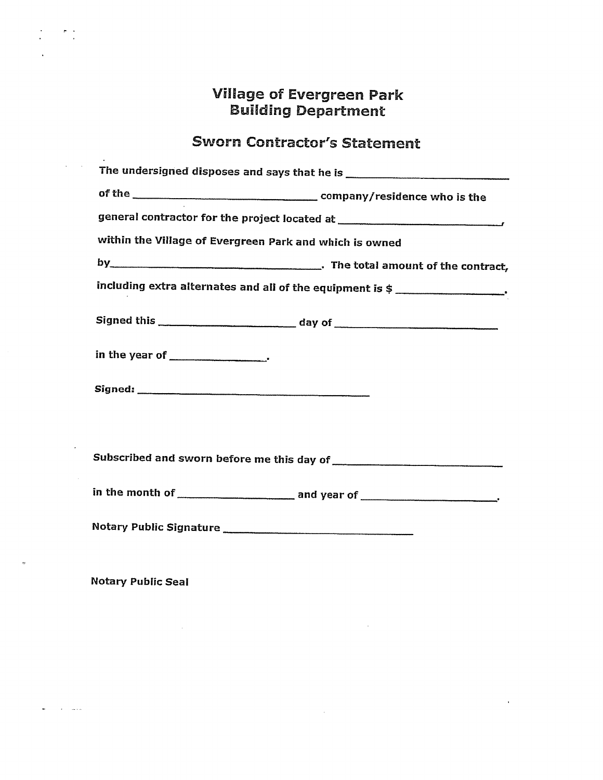# **Village of Evergreen Park<br>Building Department**

## **Sworn Contractor's Statement**

| general contractor for the project located at __________________________________                                                                                                                                                                                                                                                                                                                     |
|------------------------------------------------------------------------------------------------------------------------------------------------------------------------------------------------------------------------------------------------------------------------------------------------------------------------------------------------------------------------------------------------------|
| within the Village of Evergreen Park and which is owned                                                                                                                                                                                                                                                                                                                                              |
|                                                                                                                                                                                                                                                                                                                                                                                                      |
| including extra alternates and all of the equipment is $\frac{1}{2}$                                                                                                                                                                                                                                                                                                                                 |
|                                                                                                                                                                                                                                                                                                                                                                                                      |
|                                                                                                                                                                                                                                                                                                                                                                                                      |
|                                                                                                                                                                                                                                                                                                                                                                                                      |
|                                                                                                                                                                                                                                                                                                                                                                                                      |
|                                                                                                                                                                                                                                                                                                                                                                                                      |
| in the month of $\frac{1}{\sqrt{1-\frac{1}{2}}\sqrt{1-\frac{1}{2}}\sqrt{1-\frac{1}{2}}\sqrt{1-\frac{1}{2}}\sqrt{1-\frac{1}{2}}\sqrt{1-\frac{1}{2}}\sqrt{1-\frac{1}{2}}\sqrt{1-\frac{1}{2}}\sqrt{1-\frac{1}{2}}\sqrt{1-\frac{1}{2}}\sqrt{1-\frac{1}{2}}\sqrt{1-\frac{1}{2}}\sqrt{1-\frac{1}{2}}\sqrt{1-\frac{1}{2}}\sqrt{1-\frac{1}{2}}\sqrt{1-\frac{1}{2}}\sqrt{1-\frac{1}{2}}\sqrt{1-\frac{1}{2}}\$ |
|                                                                                                                                                                                                                                                                                                                                                                                                      |

 $\sim 10^{-1}$ 

 $\sim 10^{10}$  km s  $^{-1}$ 

 $\sim 10^{-11}$ 

**Notary Public Seal** 

 $\label{eq:2.1} \frac{1}{\sqrt{2}}\int_{\mathbb{R}^3}\frac{1}{\sqrt{2}}\left(\frac{1}{\sqrt{2}}\right)^2\frac{1}{\sqrt{2}}\left(\frac{1}{\sqrt{2}}\right)^2\frac{1}{\sqrt{2}}\left(\frac{1}{\sqrt{2}}\right)^2.$ 

المتهارين الفر

 $\mathcal{L}=\frac{1}{2}\sum_{i=1}^{2}\frac{1}{2}$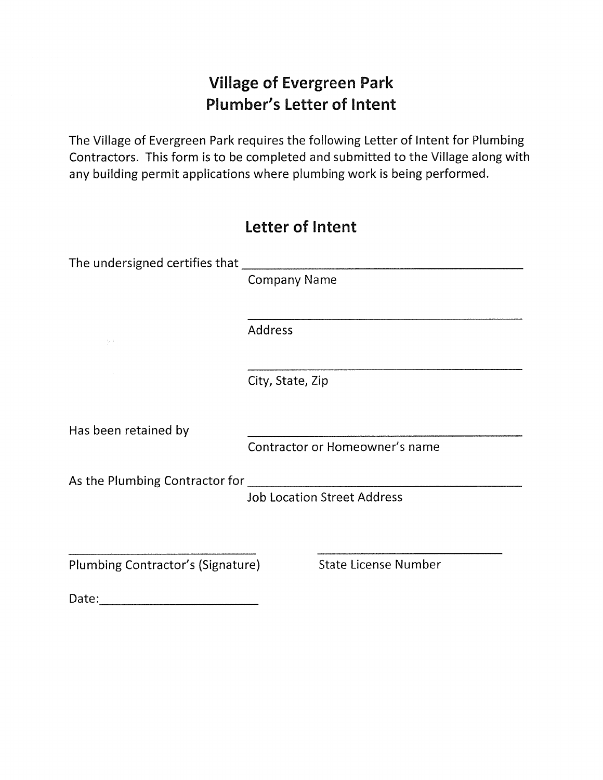## **Village of Evergreen Park Plumber's Letter of Intent**

The Village of Evergreen Park requires the following Letter of Intent for Plumbing Contractors. This form is to be completed and submitted to the Village along with any building permit applications where plumbing work is being performed.

|                                   | Letter of Intent    |                                    |
|-----------------------------------|---------------------|------------------------------------|
|                                   |                     |                                    |
|                                   | <b>Company Name</b> |                                    |
| $\mathbb{S}^{1,1}$                | Address             |                                    |
|                                   | City, State, Zip    |                                    |
| Has been retained by              |                     |                                    |
|                                   |                     | Contractor or Homeowner's name     |
| As the Plumbing Contractor for    |                     |                                    |
|                                   |                     | <b>Job Location Street Address</b> |
|                                   |                     |                                    |
| Plumbing Contractor's (Signature) |                     | <b>State License Number</b>        |

Date: with the contract of the contract of the contract of the contract of the contract of the contract of the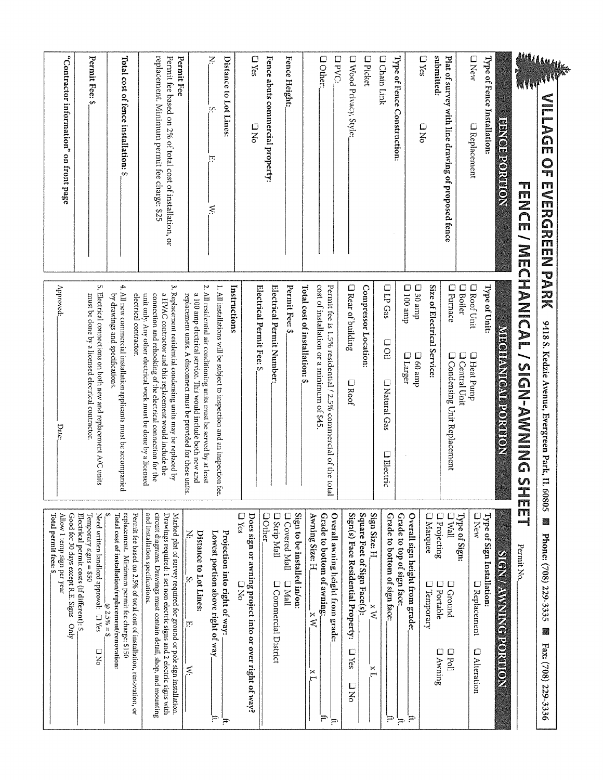| Total permit fees: \$                                                                                                                                                                                                                                   |                                                                                                                                                                                                                                                                |                                                                                                                        |
|---------------------------------------------------------------------------------------------------------------------------------------------------------------------------------------------------------------------------------------------------------|----------------------------------------------------------------------------------------------------------------------------------------------------------------------------------------------------------------------------------------------------------------|------------------------------------------------------------------------------------------------------------------------|
| Allow 1 temp sign per year                                                                                                                                                                                                                              | Approved:<br>Date:                                                                                                                                                                                                                                             | "Contractor information" on front page                                                                                 |
| Good for 30 days except R.E. Signs - Only<br>Electrical permit costs (if different): \$.                                                                                                                                                                |                                                                                                                                                                                                                                                                |                                                                                                                        |
| Temporary signs = \$50<br>Need written landlord approval: a Yes<br>n<br>S                                                                                                                                                                               | must be done by a licensed electrical contractor.                                                                                                                                                                                                              | Permit Fee: \$                                                                                                         |
| $\omega$ 2.5% = \$                                                                                                                                                                                                                                      | 5. Electrical connections on both new and replacement A/C units                                                                                                                                                                                                |                                                                                                                        |
| replacement. Minimum permit fee charge: \$150<br>Total cost of installation/replacement/renovation:                                                                                                                                                     | 4. All new commercial installation applicants must be accompanied<br>by drawings and specifications.                                                                                                                                                           | Total cost of fence installation: \$                                                                                   |
| Permit fee based on 2.5% of total cost of installation, renovation, or                                                                                                                                                                                  | electrical contractor.                                                                                                                                                                                                                                         |                                                                                                                        |
| and installation specifications.<br>circuit diagrams. Drawings must contain detail, shop, and mounting<br>Drawings required: 1 set non electric signs and 2 electric signs with<br>Marked plat of survey required for ground or pole sign installation. | 3. Replacement residential condensing units may be replaced by<br>a HVAC contractor and this replacement would include the<br>unit only. Any other electrical work must be done by a licensed<br>connection and rehooking of the electrical connection for the | replacement. Minimum permit fee charge: \$25<br>Permit fee based on 2% of total cost of installation, or<br>Permit Fee |
| Ÿ.<br>F<br>≶                                                                                                                                                                                                                                            | replacement units. A disconnect must be provided for these units.                                                                                                                                                                                              |                                                                                                                        |
| Distance to Lot Lines:                                                                                                                                                                                                                                  | Ņ.<br>All residential air conditioning units must be served by at least<br>a 100 amp electrical service. This would include both new and                                                                                                                       |                                                                                                                        |
| Projection into right of way:<br>Lowest portion above right of way<br>Ŧ,<br>È                                                                                                                                                                           | 1. All installations will be subject to inspection and an inspection<br>iee.                                                                                                                                                                                   | ¥<br>တ္က<br>Ţ<br>≋                                                                                                     |
|                                                                                                                                                                                                                                                         | Instructions                                                                                                                                                                                                                                                   | Distance to Lot Lines:                                                                                                 |
| D Yes<br>Does sign or awning project into or over right of way?<br>០<br>3                                                                                                                                                                               |                                                                                                                                                                                                                                                                | $\square$ Yes<br>D<br>No                                                                                               |
| <b>Oother</b>                                                                                                                                                                                                                                           | Electrical Permit Fee: \$                                                                                                                                                                                                                                      |                                                                                                                        |
| <b>D</b> Strip Mall<br>Q Commercial District                                                                                                                                                                                                            | Electrical Permit Number:                                                                                                                                                                                                                                      | Fence abuts commercial property:                                                                                       |
| Sign to be installed in/on:<br>O Covered Mall<br>$\Box$ Mall                                                                                                                                                                                            | Permit Fee: \$                                                                                                                                                                                                                                                 | Fence Height:                                                                                                          |
|                                                                                                                                                                                                                                                         | Total cost of installation: \$                                                                                                                                                                                                                                 |                                                                                                                        |
| Grade to bottom of awning:<br>Awning Size: H.<br>$X$ W<br>ĨХ<br>ਜ਼                                                                                                                                                                                      | cost of installation or a minimum of \$45                                                                                                                                                                                                                      | <b>O</b> Other:                                                                                                        |
| Overall awning height from grade:<br>Ŧ,                                                                                                                                                                                                                 | Permit fee is 1.5% residential / 2.5% commercial of the to<br>Ë                                                                                                                                                                                                | <b>OPVC:</b>                                                                                                           |
| Sign(s) Face Residential Property:                                                                                                                                                                                                                      | <b>Q</b> Rear of building<br><b>N</b> Roof                                                                                                                                                                                                                     |                                                                                                                        |
| Square Feet of Sign Face(s):<br>$\square$ Yes<br>D<br>No                                                                                                                                                                                                | Compressor Location:                                                                                                                                                                                                                                           | O Wood Privacy, Style:                                                                                                 |
| Sign Size: H<br>$\mathbf{x}$<br>×<br>٣                                                                                                                                                                                                                  |                                                                                                                                                                                                                                                                | <b>D</b> Picket                                                                                                        |
| Grade to bottom of sign face:<br>Ħ,                                                                                                                                                                                                                     | <b>OLP Gas</b><br>n<br>Oil<br>D Natural Gas<br><b>O</b> Blectric                                                                                                                                                                                               | <b>O Chain Link</b>                                                                                                    |
| Grade to top of sign face<br>Ŧ                                                                                                                                                                                                                          | dure 001 $\Box$<br><b>O</b> Larger                                                                                                                                                                                                                             | Type of Fence Construction:                                                                                            |
| Overall sign height from grade:<br>Έ.                                                                                                                                                                                                                   | dure $0 \in \Box$<br>$d$ ure 09 $\Box$                                                                                                                                                                                                                         | <b>D</b> Yes<br>D<br>3<br>9                                                                                            |
| <b>O</b> Marquee<br><b>D</b> Projecting<br>$\square$ Temporary<br><b>D</b> Portable<br><b>D</b> Awning                                                                                                                                                  | Size of Electrical Service:                                                                                                                                                                                                                                    | submitted:                                                                                                             |
| $\sum_{n=1}^{\infty}$<br><b>D</b> Ground<br>$\frac{1}{2}$                                                                                                                                                                                               | <b>O</b> Furnace<br><b>Q</b> Condensing Unit Replacement                                                                                                                                                                                                       | Plat of survey with line drawing of proposed fence                                                                     |
| Type of Sign:                                                                                                                                                                                                                                           | <b>D</b> Roof Unit<br><b>O</b> Boiler<br><b>O</b> Heat Pump<br><b>Q Central Unit</b>                                                                                                                                                                           | <b>D</b> New<br><b>D</b> Replacement                                                                                   |
| $D$ New<br><b>D</b> Replacement<br><b>Q</b> Alteration                                                                                                                                                                                                  |                                                                                                                                                                                                                                                                |                                                                                                                        |
| Type of Sign Installation:                                                                                                                                                                                                                              | Type of Unit:                                                                                                                                                                                                                                                  | Type of Fence Installation:                                                                                            |
| <b><i>SIGNA MARING DE GREGORIA</i></b>                                                                                                                                                                                                                  | <b>MIRCIFRANTORI IVOIRINON</b>                                                                                                                                                                                                                                 | <b>NOTING CONGRET</b>                                                                                                  |
| 古門<br>Permit No.                                                                                                                                                                                                                                        | FENCE / FACE / SHORE / SHORE / SHORE / SHORE / SHORE / SHORE / SHORE / SHORE / SHORE / SHORE / SHORE / SHORE /                                                                                                                                                 |                                                                                                                        |
|                                                                                                                                                                                                                                                         |                                                                                                                                                                                                                                                                |                                                                                                                        |
| 纙<br>Phone: (708) 229-3335<br>驪<br>Fax: (708) 229-3336                                                                                                                                                                                                  | 9418 S. Kedzie Avenue, Evergreen Park, IL<br>50809                                                                                                                                                                                                             | <b>Myrrelly</b><br><b>NILAGE OF EVERGREEN PARK</b>                                                                     |
|                                                                                                                                                                                                                                                         |                                                                                                                                                                                                                                                                |                                                                                                                        |